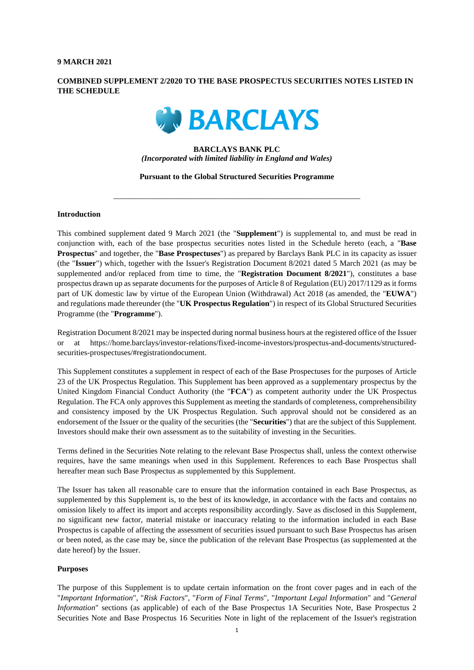#### **9 MARCH 2021**

# **COMBINED SUPPLEMENT 2/2020 TO THE BASE PROSPECTUS SECURITIES NOTES LISTED IN THE SCHEDULE**



## **BARCLAYS BANK PLC**  *(Incorporated with limited liability in England and Wales)*

#### **Pursuant to the Global Structured Securities Programme**

\_\_\_\_\_\_\_\_\_\_\_\_\_\_\_\_\_\_\_\_\_\_\_\_\_\_\_\_\_\_\_\_\_\_\_\_\_\_\_\_\_\_\_\_\_\_\_\_\_\_\_\_\_\_\_\_\_\_\_\_\_\_

## **Introduction**

This combined supplement dated 9 March 2021 (the "**Supplement**") is supplemental to, and must be read in conjunction with, each of the base prospectus securities notes listed in the Schedule hereto (each, a "**Base Prospectus**" and together, the "**Base Prospectuses**") as prepared by Barclays Bank PLC in its capacity as issuer (the "**Issuer**") which, together with the Issuer's Registration Document 8/2021 dated 5 March 2021 (as may be supplemented and/or replaced from time to time, the "**Registration Document 8/2021**"), constitutes a base prospectus drawn up as separate documents for the purposes of Article 8 of Regulation (EU) 2017/1129 as it forms part of UK domestic law by virtue of the European Union (Withdrawal) Act 2018 (as amended, the "**EUWA**") and regulations made thereunder (the "**UK Prospectus Regulation**") in respect of its Global Structured Securities Programme (the "**Programme**").

Registration Document 8/2021 may be inspected during normal business hours at the registered office of the Issuer or at https://home.barclays/investor-relations/fixed-income-investors/prospectus-and-documents/structuredsecurities-prospectuses/#registrationdocument.

This Supplement constitutes a supplement in respect of each of the Base Prospectuses for the purposes of Article 23 of the UK Prospectus Regulation. This Supplement has been approved as a supplementary prospectus by the United Kingdom Financial Conduct Authority (the "**FCA**") as competent authority under the UK Prospectus Regulation. The FCA only approves this Supplement as meeting the standards of completeness, comprehensibility and consistency imposed by the UK Prospectus Regulation. Such approval should not be considered as an endorsement of the Issuer or the quality of the securities (the "**Securities**") that are the subject of this Supplement. Investors should make their own assessment as to the suitability of investing in the Securities.

Terms defined in the Securities Note relating to the relevant Base Prospectus shall, unless the context otherwise requires, have the same meanings when used in this Supplement. References to each Base Prospectus shall hereafter mean such Base Prospectus as supplemented by this Supplement.

The Issuer has taken all reasonable care to ensure that the information contained in each Base Prospectus, as supplemented by this Supplement is, to the best of its knowledge, in accordance with the facts and contains no omission likely to affect its import and accepts responsibility accordingly. Save as disclosed in this Supplement, no significant new factor, material mistake or inaccuracy relating to the information included in each Base Prospectus is capable of affecting the assessment of securities issued pursuant to such Base Prospectus has arisen or been noted, as the case may be, since the publication of the relevant Base Prospectus (as supplemented at the date hereof) by the Issuer.

#### **Purposes**

The purpose of this Supplement is to update certain information on the front cover pages and in each of the "*Important Information*", "*Risk Factors*", "*Form of Final Terms*", "*Important Legal Information*" and "*General Information*" sections (as applicable) of each of the Base Prospectus 1A Securities Note, Base Prospectus 2 Securities Note and Base Prospectus 16 Securities Note in light of the replacement of the Issuer's registration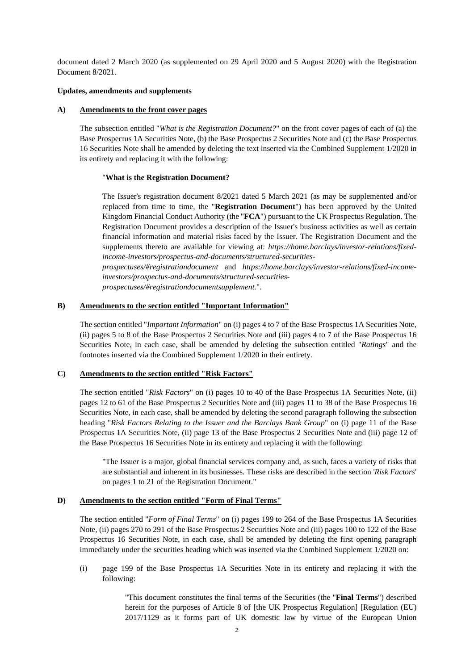document dated 2 March 2020 (as supplemented on 29 April 2020 and 5 August 2020) with the Registration Document 8/2021.

## **Updates, amendments and supplements**

## **A) Amendments to the front cover pages**

The subsection entitled "*What is the Registration Document?*" on the front cover pages of each of (a) the Base Prospectus 1A Securities Note, (b) the Base Prospectus 2 Securities Note and (c) the Base Prospectus 16 Securities Note shall be amended by deleting the text inserted via the Combined Supplement 1/2020 in its entirety and replacing it with the following:

## "**What is the Registration Document?**

The Issuer's registration document 8/2021 dated 5 March 2021 (as may be supplemented and/or replaced from time to time, the "**Registration Document**") has been approved by the United Kingdom Financial Conduct Authority (the "**FCA**") pursuant to the UK Prospectus Regulation. The Registration Document provides a description of the Issuer's business activities as well as certain financial information and material risks faced by the Issuer. The Registration Document and the supplements thereto are available for viewing at: *https://home.barclays/investor-relations/fixedincome-investors/prospectus-and-documents/structured-securities-*

*prospectuses/#registrationdocument* and *https://home.barclays/investor-relations/fixed-incomeinvestors/prospectus-and-documents/structured-securities-*

*prospectuses/#registrationdocumentsupplement.*".

## **B) Amendments to the section entitled "Important Information"**

The section entitled "*Important Information*" on (i) pages 4 to 7 of the Base Prospectus 1A Securities Note, (ii) pages 5 to 8 of the Base Prospectus 2 Securities Note and (iii) pages 4 to 7 of the Base Prospectus 16 Securities Note, in each case, shall be amended by deleting the subsection entitled "*Ratings*" and the footnotes inserted via the Combined Supplement 1/2020 in their entirety.

## **C) Amendments to the section entitled "Risk Factors"**

The section entitled "*Risk Factors*" on (i) pages 10 to 40 of the Base Prospectus 1A Securities Note, (ii) pages 12 to 61 of the Base Prospectus 2 Securities Note and (iii) pages 11 to 38 of the Base Prospectus 16 Securities Note, in each case, shall be amended by deleting the second paragraph following the subsection heading "*Risk Factors Relating to the Issuer and the Barclays Bank Group*" on (i) page 11 of the Base Prospectus 1A Securities Note, (ii) page 13 of the Base Prospectus 2 Securities Note and (iii) page 12 of the Base Prospectus 16 Securities Note in its entirety and replacing it with the following:

"The Issuer is a major, global financial services company and, as such, faces a variety of risks that are substantial and inherent in its businesses. These risks are described in the section '*Risk Factors*' on pages 1 to 21 of the Registration Document."

## **D) Amendments to the section entitled "Form of Final Terms"**

The section entitled "*Form of Final Terms*" on (i) pages 199 to 264 of the Base Prospectus 1A Securities Note, (ii) pages 270 to 291 of the Base Prospectus 2 Securities Note and (iii) pages 100 to 122 of the Base Prospectus 16 Securities Note, in each case, shall be amended by deleting the first opening paragraph immediately under the securities heading which was inserted via the Combined Supplement 1/2020 on:

(i) page 199 of the Base Prospectus 1A Securities Note in its entirety and replacing it with the following:

> "This document constitutes the final terms of the Securities (the "**Final Terms**") described herein for the purposes of Article 8 of [the UK Prospectus Regulation] [Regulation (EU) 2017/1129 as it forms part of UK domestic law by virtue of the European Union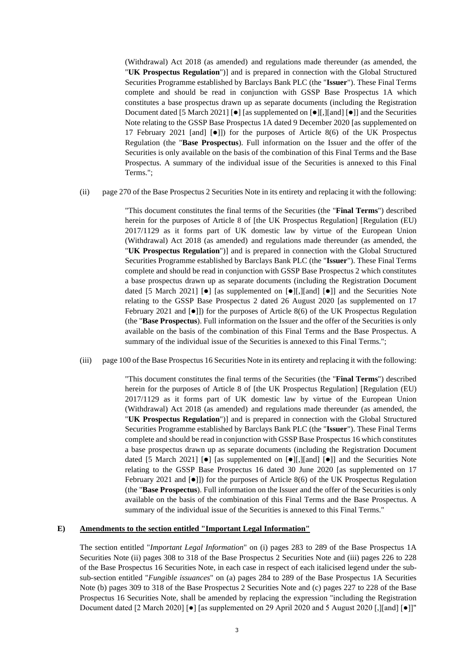(Withdrawal) Act 2018 (as amended) and regulations made thereunder (as amended, the "**UK Prospectus Regulation**")] and is prepared in connection with the Global Structured Securities Programme established by Barclays Bank PLC (the "**Issuer**"). These Final Terms complete and should be read in conjunction with GSSP Base Prospectus 1A which constitutes a base prospectus drawn up as separate documents (including the Registration Document dated [5 March 2021]  $\begin{bmatrix} \bullet \end{bmatrix}$  [as supplemented on  $\begin{bmatrix} \bullet \end{bmatrix}$ ], [and  $\begin{bmatrix} \bullet \end{bmatrix}$ ] and the Securities Note relating to the GSSP Base Prospectus 1A dated 9 December 2020 [as supplemented on 17 February 2021 [and]  $[•]$ ]) for the purposes of Article 8(6) of the UK Prospectus Regulation (the "**Base Prospectus**). Full information on the Issuer and the offer of the Securities is only available on the basis of the combination of this Final Terms and the Base Prospectus. A summary of the individual issue of the Securities is annexed to this Final Terms.";

(ii) page 270 of the Base Prospectus 2 Securities Note in its entirety and replacing it with the following:

"This document constitutes the final terms of the Securities (the "**Final Terms**") described herein for the purposes of Article 8 of [the UK Prospectus Regulation] [Regulation (EU) 2017/1129 as it forms part of UK domestic law by virtue of the European Union (Withdrawal) Act 2018 (as amended) and regulations made thereunder (as amended, the "**UK Prospectus Regulation**")] and is prepared in connection with the Global Structured Securities Programme established by Barclays Bank PLC (the "**Issuer**"). These Final Terms complete and should be read in conjunction with GSSP Base Prospectus 2 which constitutes a base prospectus drawn up as separate documents (including the Registration Document dated [5 March 2021]  $[•]$  [as supplemented on  $[•]$ [,][and]  $[•]$ ] and the Securities Note relating to the GSSP Base Prospectus 2 dated 26 August 2020 [as supplemented on 17 February 2021 and  $[0]$ ) for the purposes of Article 8(6) of the UK Prospectus Regulation (the "**Base Prospectus**). Full information on the Issuer and the offer of the Securities is only available on the basis of the combination of this Final Terms and the Base Prospectus. A summary of the individual issue of the Securities is annexed to this Final Terms.";

(iii) page 100 of the Base Prospectus 16 Securities Note in its entirety and replacing it with the following:

"This document constitutes the final terms of the Securities (the "**Final Terms**") described herein for the purposes of Article 8 of [the UK Prospectus Regulation] [Regulation (EU) 2017/1129 as it forms part of UK domestic law by virtue of the European Union (Withdrawal) Act 2018 (as amended) and regulations made thereunder (as amended, the "**UK Prospectus Regulation**")] and is prepared in connection with the Global Structured Securities Programme established by Barclays Bank PLC (the "**Issuer**"). These Final Terms complete and should be read in conjunction with GSSP Base Prospectus 16 which constitutes a base prospectus drawn up as separate documents (including the Registration Document dated [5 March 2021]  $\lceil \bullet \rceil$  [as supplemented on  $\lceil \bullet \rceil$ ], [and]  $\lceil \bullet \bullet \rceil$ ] and the Securities Note relating to the GSSP Base Prospectus 16 dated 30 June 2020 [as supplemented on 17 February 2021 and  $\lceil \bullet \rceil$ ) for the purposes of Article 8(6) of the UK Prospectus Regulation (the "**Base Prospectus**). Full information on the Issuer and the offer of the Securities is only available on the basis of the combination of this Final Terms and the Base Prospectus. A summary of the individual issue of the Securities is annexed to this Final Terms."

#### **E) Amendments to the section entitled "Important Legal Information"**

The section entitled "*Important Legal Information*" on (i) pages 283 to 289 of the Base Prospectus 1A Securities Note (ii) pages 308 to 318 of the Base Prospectus 2 Securities Note and (iii) pages 226 to 228 of the Base Prospectus 16 Securities Note, in each case in respect of each italicised legend under the subsub-section entitled "*Fungible issuances*" on (a) pages 284 to 289 of the Base Prospectus 1A Securities Note (b) pages 309 to 318 of the Base Prospectus 2 Securities Note and (c) pages 227 to 228 of the Base Prospectus 16 Securities Note, shall be amended by replacing the expression "including the Registration Document dated [2 March 2020] [●] [as supplemented on 29 April 2020 and 5 August 2020 [,][and] [●]]"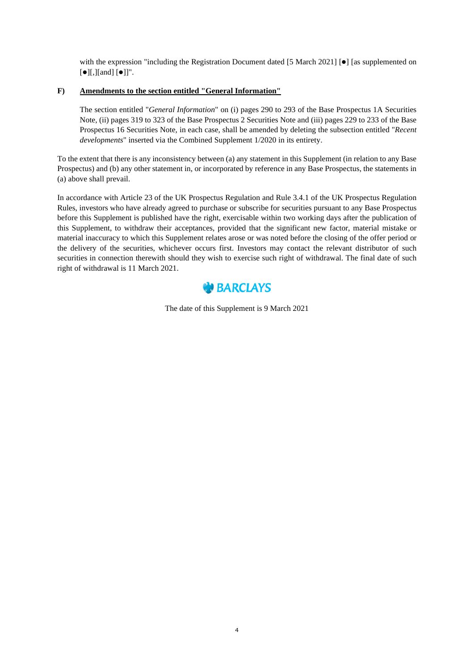with the expression "including the Registration Document dated [5 March 2021]  $\bullet$  [as supplemented on  $\lbrack \bullet \rbrack$ [,][and]  $\lbrack \bullet \rbrack$ ]".

# **F) Amendments to the section entitled "General Information"**

The section entitled "*General Information*" on (i) pages 290 to 293 of the Base Prospectus 1A Securities Note, (ii) pages 319 to 323 of the Base Prospectus 2 Securities Note and (iii) pages 229 to 233 of the Base Prospectus 16 Securities Note, in each case, shall be amended by deleting the subsection entitled "*Recent developments*" inserted via the Combined Supplement 1/2020 in its entirety.

To the extent that there is any inconsistency between (a) any statement in this Supplement (in relation to any Base Prospectus) and (b) any other statement in, or incorporated by reference in any Base Prospectus, the statements in (a) above shall prevail.

In accordance with Article 23 of the UK Prospectus Regulation and Rule 3.4.1 of the UK Prospectus Regulation Rules, investors who have already agreed to purchase or subscribe for securities pursuant to any Base Prospectus before this Supplement is published have the right, exercisable within two working days after the publication of this Supplement, to withdraw their acceptances, provided that the significant new factor, material mistake or material inaccuracy to which this Supplement relates arose or was noted before the closing of the offer period or the delivery of the securities, whichever occurs first. Investors may contact the relevant distributor of such securities in connection therewith should they wish to exercise such right of withdrawal. The final date of such right of withdrawal is 11 March 2021.



The date of this Supplement is 9 March 2021